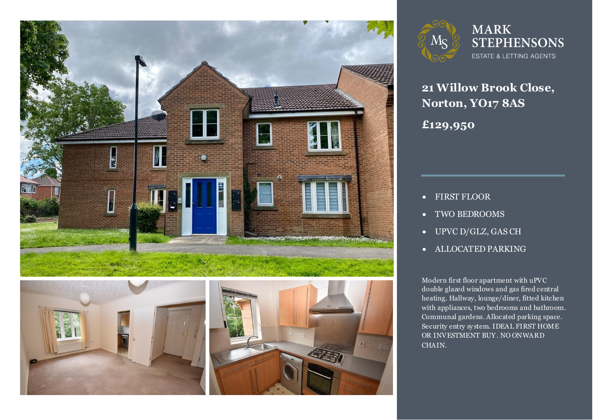







**21 Willow Brook Close, Norton, YO17 8AS £129,950**

- FIRST FLOOR
- TWO BEDROOMS
- UPVC D/GLZ, GAS CH
- ALLOCATED PARKING

Modern first floor apartment with uPVC<br>double glazed windows and gas fired central heating. Hallway, lounge/diner, fitted kitchen<br>with appliances, two bedrooms and bathroom. Modern first floor apartment with uPVC with appliances, two bedrooms and bathroom. Communal gardens. Allocated parking space. Security entry sy stem. IDEAL FIRST HOME OR INVESTMENT BUY . NO ONWARD CHAIN.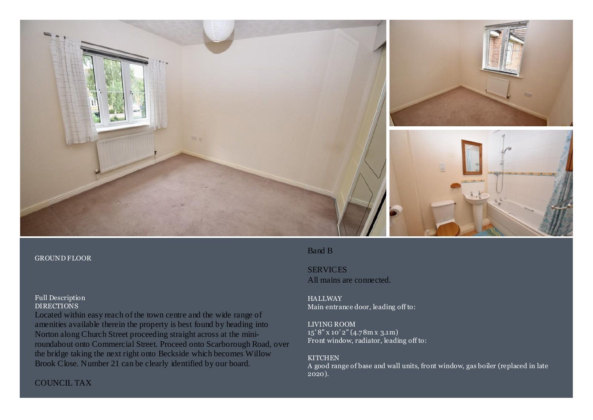

### GROUND FLOOR

## Full Description DIRECTIONS

Located within easy reach of the town centre and the wide range of amenities available therein the property is best found by heading into Norton along Church Street proceeding straight across at the miniroundabout onto Commercial Street. Proceed onto Scarborough Road, over the bridge taking the next right onto Beckside which becomes Willow Brook Close. Number 21 can be clearly identified by our board.

# Band B

SERVICES All mains are connected.

**HALLWAY** Main entrance door, leading off to:

## LIVING ROOM

15' 8" x 10' 2" (4.78m x 3.1m) Front window, radiator, leading off to:

## **KITCHEN**

A good range of base and wall units, front window, gas boiler (replaced in late 2020).

# COUNCIL TAX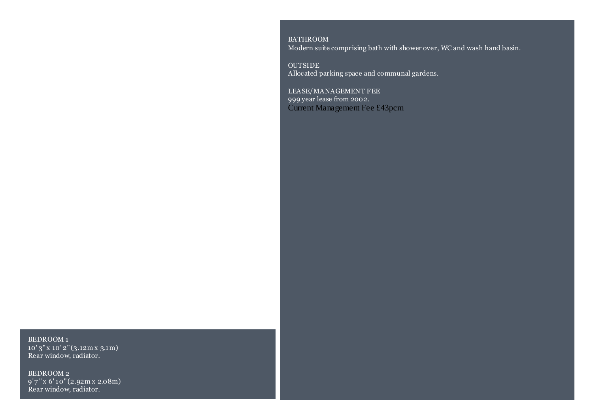BATHROOM Modern suite comprising bath with shower over, WC and wash hand basin.

OUTSIDE Allocated parking space and communal gardens.

LEASE/MANAGEMENT FEE 999 year lease from 2002. Current Management Fee £43pcm

BEDROOM 1 10' 3" x 10' 2" (3.12m x 3.1m) Rear window, radiator.

BEDROOM 2 9' 7 " x 6' 10" (2.92m x 2.08m) Rear window, radiator.